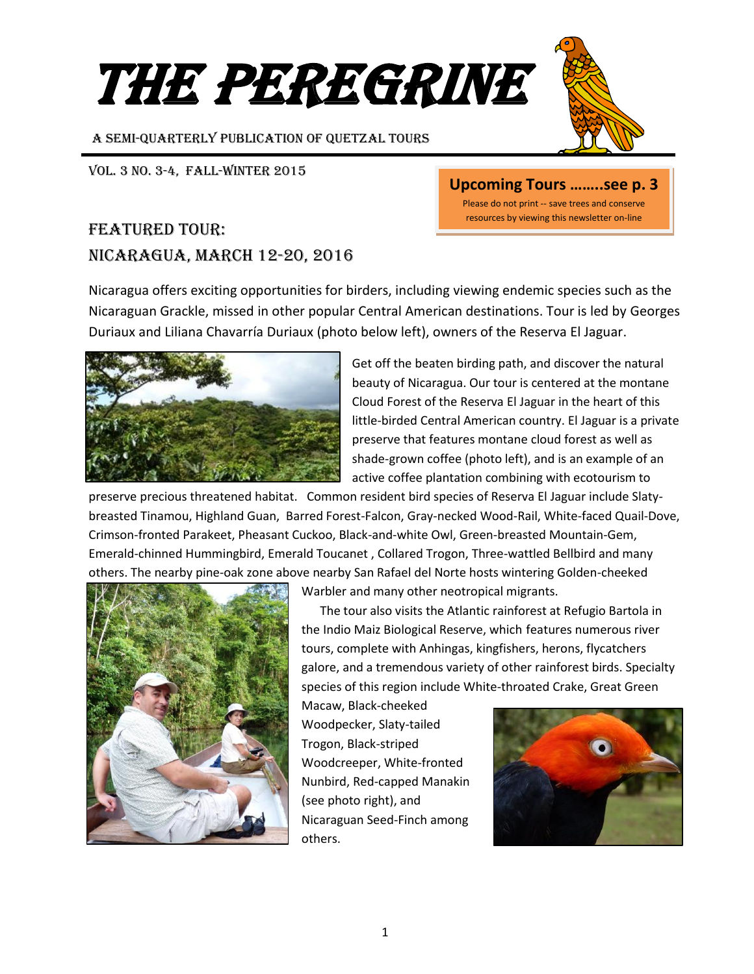# **THE PEREGRINE**

A SEMI-Quarterly Publication of Quetzal Tours

#### Vol. 3 No. 3-4, FALL-WINTER 2015

## featured tour: Nicaragua, march 12-20, 2016

Nicaragua offers exciting opportunities for birders, including viewing endemic species such as the Nicaraguan Grackle, missed in other popular Central American destinations. Tour is led by Georges Duriaux and Liliana Chavarría Duriaux (photo below left), owners of the Reserva El Jaguar.





**Upcoming Tours ……..see p. 3**

Please do not print -- save trees and conserve resources by viewing this newsletter on-line

Get off the beaten birding path, and discover the natural beauty of Nicaragua. Our tour is centered at the montane Cloud Forest of the Reserva El Jaguar in the heart of this little-birded Central American country. El Jaguar is a private preserve that features montane cloud forest as well as shade-grown coffee (photo left), and is an example of an active coffee plantation combining with ecotourism to

preserve precious threatened habitat. Common resident bird species of Reserva El Jaguar include Slatybreasted Tinamou, Highland Guan, Barred Forest-Falcon, Gray-necked Wood-Rail, White-faced Quail-Dove, Crimson-fronted Parakeet, Pheasant Cuckoo, Black-and-white Owl, Green-breasted Mountain-Gem, Emerald-chinned Hummingbird, Emerald Toucanet , Collared Trogon, Three-wattled Bellbird and many others. The nearby pine-oak zone above nearby San Rafael del Norte hosts wintering Golden-cheeked



Warbler and many other neotropical migrants.

 The tour also visits the Atlantic rainforest at Refugio Bartola in the Indio Maiz Biological Reserve, which features numerous river tours, complete with Anhingas, kingfishers, herons, flycatchers galore, and a tremendous variety of other rainforest birds. Specialty species of this region include White-throated Crake, Great Green

Macaw, Black-cheeked Woodpecker, Slaty-tailed Trogon, Black-striped Woodcreeper, White-fronted Nunbird, Red-capped Manakin (see photo right), and Nicaraguan Seed-Finch among others.

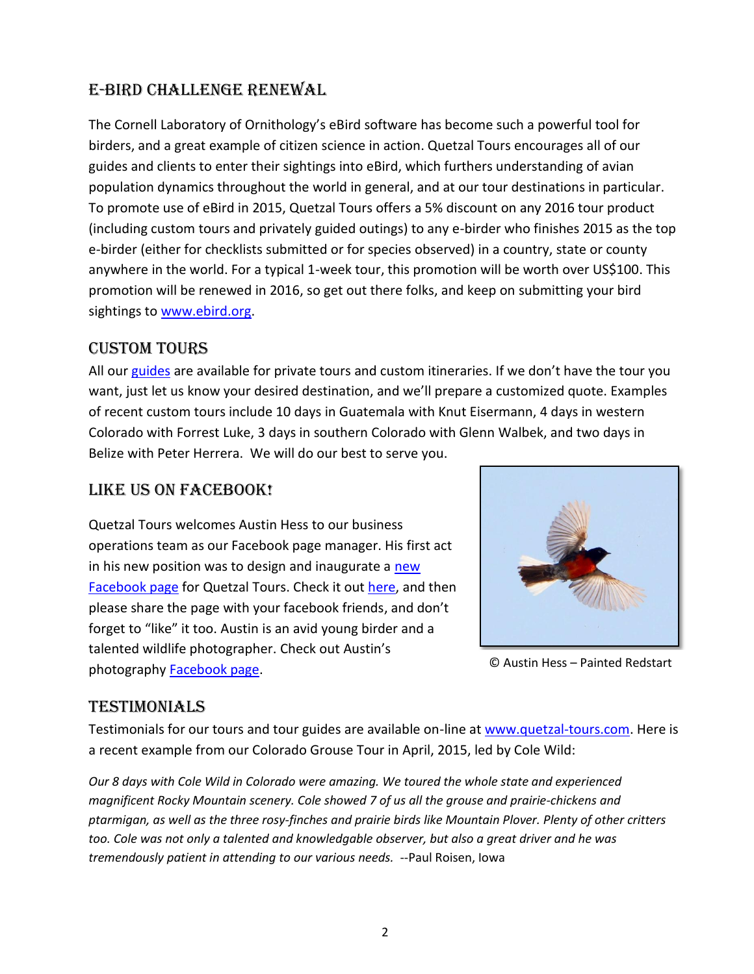## E-bird challenge renewal

The Cornell Laboratory of Ornithology's eBird software has become such a powerful tool for birders, and a great example of citizen science in action. Quetzal Tours encourages all of our guides and clients to enter their sightings into eBird, which furthers understanding of avian population dynamics throughout the world in general, and at our tour destinations in particular. To promote use of eBird in 2015, Quetzal Tours offers a 5% discount on any 2016 tour product (including custom tours and privately guided outings) to any e-birder who finishes 2015 as the top e-birder (either for checklists submitted or for species observed) in a country, state or county anywhere in the world. For a typical 1-week tour, this promotion will be worth over US\$100. This promotion will be renewed in 2016, so get out there folks, and keep on submitting your bird sightings to [www.ebird.org.](http://www.ebird.org/)

#### custom tours

All ou[r guides](http://www.quetzal-tours.com/About-Us.html) are available for private tours and custom itineraries. If we don't have the tour you want, just let us know your desired destination, and we'll prepare a customized quote. Examples of recent custom tours include 10 days in Guatemala with Knut Eisermann, 4 days in western Colorado with Forrest Luke, 3 days in southern Colorado with Glenn Walbek, and two days in Belize with Peter Herrera. We will do our best to serve you.

### Like us on facebook!

Quetzal Tours welcomes Austin Hess to our business operations team as our Facebook page manager. His first act in his [new](https://www.facebook.com/quetzaltours1/) position was to design and inaugurate a new [Facebook page](https://www.facebook.com/quetzaltours1/) for Quetzal Tours. Check it out [here,](https://www.facebook.com/quetzaltours1/) and then please share the page with your facebook friends, and don't forget to "like" it too. Austin is an avid young birder and a talented wildlife photographer. Check out Austin's photography [Facebook page.](https://www.facebook.com/ajsnature/)



© Austin Hess – Painted Redstart

#### **TESTIMONIALS**

Testimonials for our tours and tour guides are available on-line a[t www.quetzal-tours.com.](http://www.quetzal-tours.com/) Here is a recent example from our Colorado Grouse Tour in April, 2015, led by Cole Wild:

*Our 8 days with Cole Wild in Colorado were amazing. We toured the whole state and experienced magnificent Rocky Mountain scenery. Cole showed 7 of us all the grouse and prairie-chickens and ptarmigan, as well as the three rosy-finches and prairie birds like Mountain Plover. Plenty of other critters too. Cole was not only a talented and knowledgable observer, but also a great driver and he was tremendously patient in attending to our various needs.* --Paul Roisen, Iowa